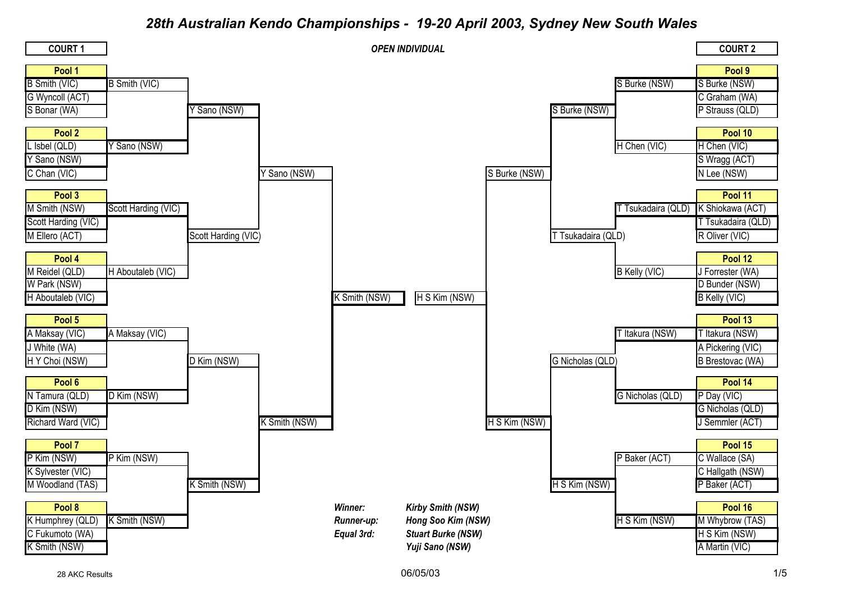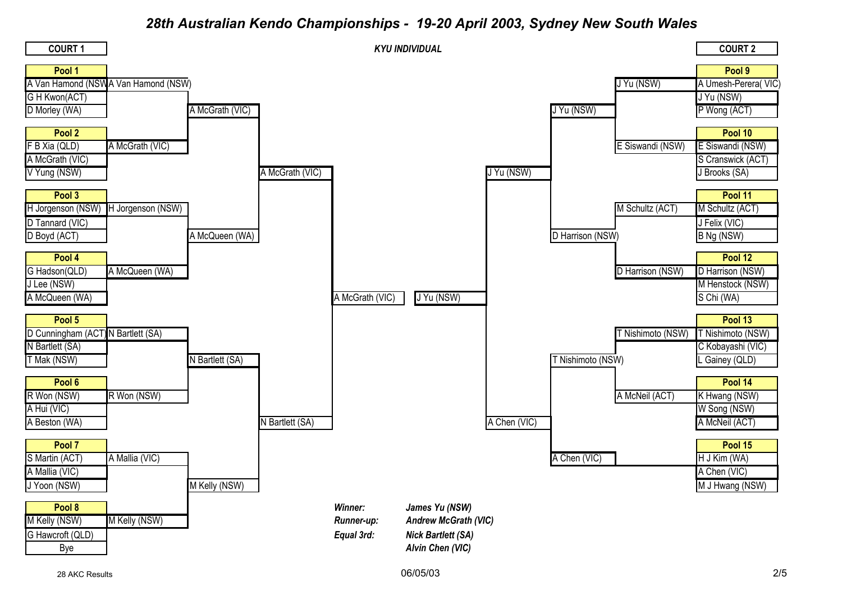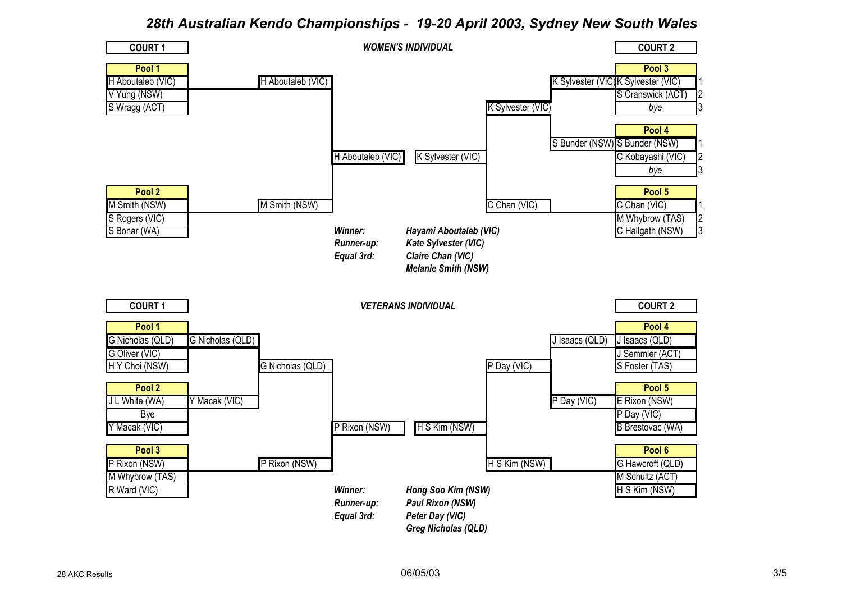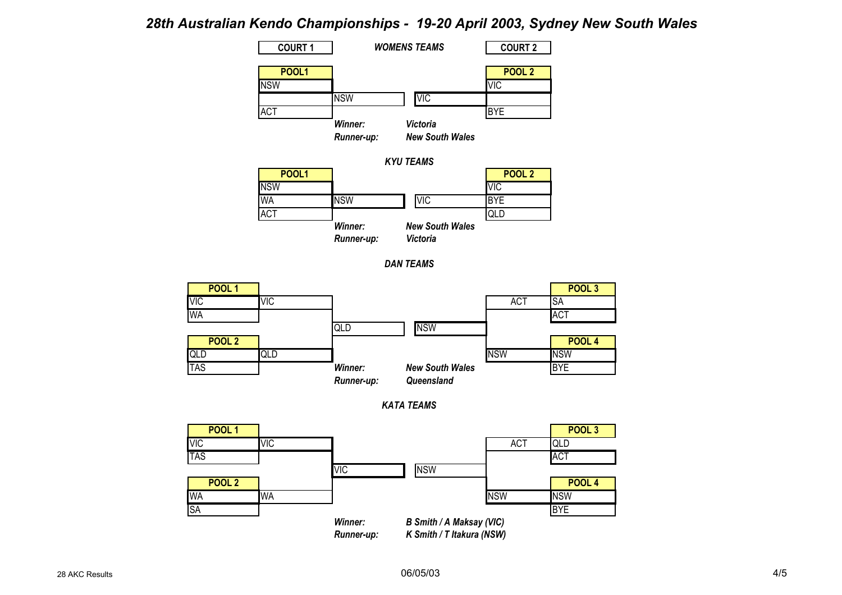



*KATA TEAMS*



06/05/03 4/5